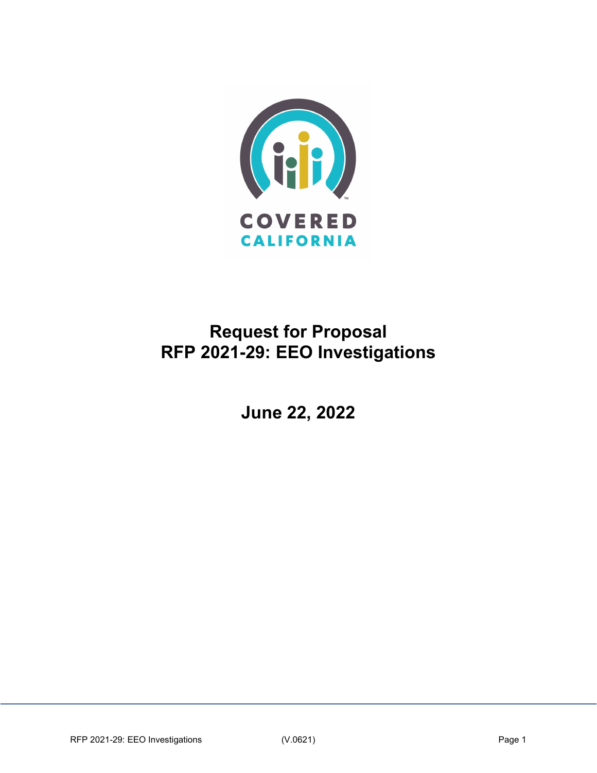

# **Request for Proposal RFP 2021-29: EEO Investigations**

**June 22, 2022**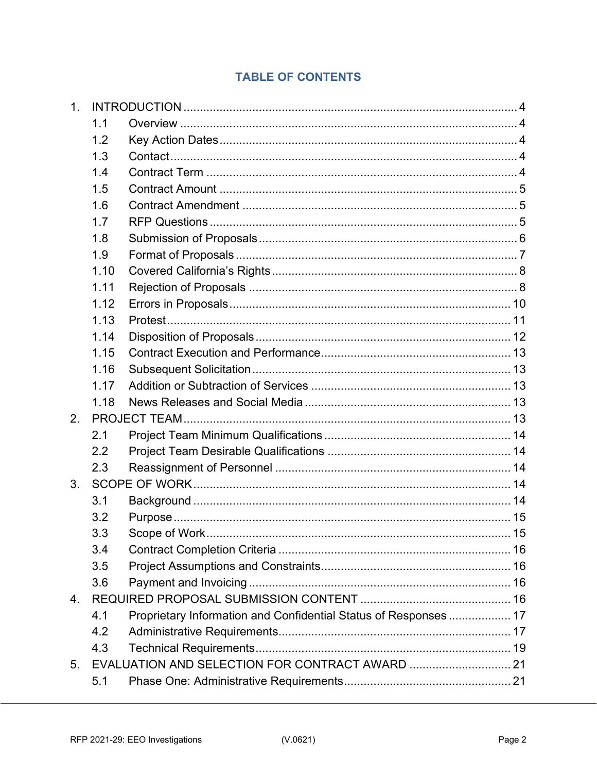# **TABLE OF CONTENTS**

| 1 <sub>1</sub> |      |                                                                  |  |
|----------------|------|------------------------------------------------------------------|--|
|                | 1.1  |                                                                  |  |
|                | 1.2  |                                                                  |  |
|                | 1.3  |                                                                  |  |
|                | 1.4  |                                                                  |  |
|                | 1.5  |                                                                  |  |
|                | 1.6  |                                                                  |  |
|                | 1.7  |                                                                  |  |
|                | 1.8  |                                                                  |  |
|                | 1.9  |                                                                  |  |
|                | 1.10 |                                                                  |  |
|                | 1.11 |                                                                  |  |
|                | 1.12 |                                                                  |  |
|                | 1.13 |                                                                  |  |
|                | 1.14 |                                                                  |  |
|                | 1.15 |                                                                  |  |
|                | 1.16 |                                                                  |  |
|                | 1.17 |                                                                  |  |
|                | 1.18 |                                                                  |  |
| 2.             |      |                                                                  |  |
|                | 2.1  |                                                                  |  |
|                | 2.2  |                                                                  |  |
|                | 2.3  |                                                                  |  |
| 3.             |      |                                                                  |  |
|                | 3.1  |                                                                  |  |
|                | 3.2  |                                                                  |  |
|                | 3.3  | Scope of Work                                                    |  |
|                | 3.4  |                                                                  |  |
|                | 3.5  |                                                                  |  |
|                | 3.6  |                                                                  |  |
| 4.             |      |                                                                  |  |
|                | 4.1  | Proprietary Information and Confidential Status of Responses  17 |  |
|                | 4.2  |                                                                  |  |
|                | 4.3  |                                                                  |  |
| 5.             |      |                                                                  |  |
|                | 5.1  |                                                                  |  |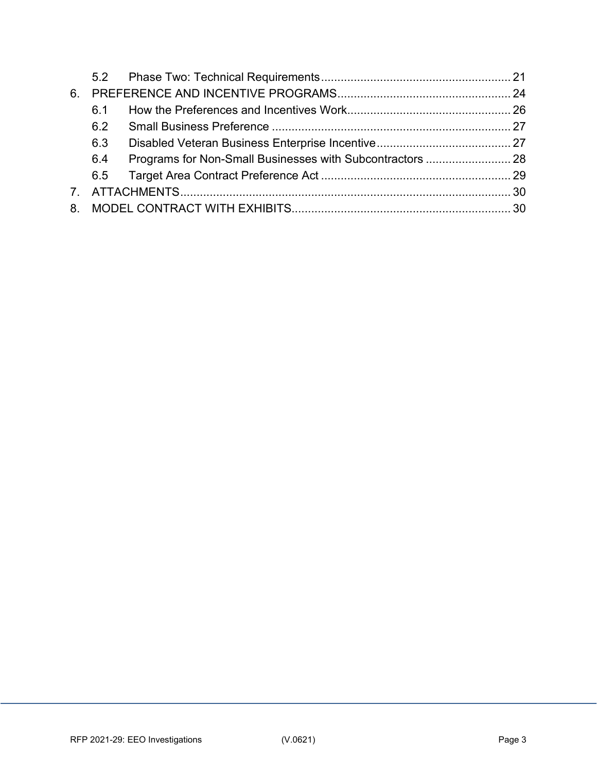| 6. |     |  |
|----|-----|--|
|    | 61  |  |
|    | 6.2 |  |
|    | 6.3 |  |
|    | 6.4 |  |
|    |     |  |
|    |     |  |
| 8  |     |  |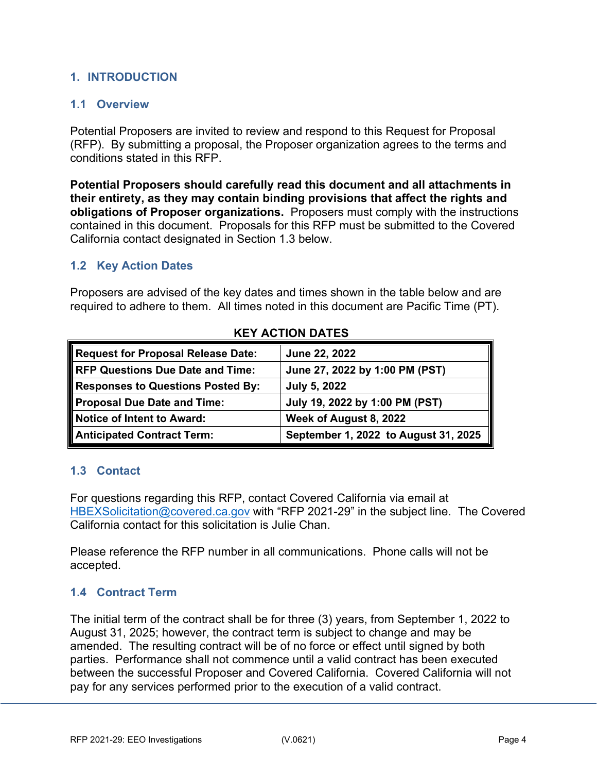## <span id="page-3-0"></span>**1. INTRODUCTION**

#### <span id="page-3-1"></span>**1.1 Overview**

Potential Proposers are invited to review and respond to this Request for Proposal (RFP). By submitting a proposal, the Proposer organization agrees to the terms and conditions stated in this RFP.

**Potential Proposers should carefully read this document and all attachments in their entirety, as they may contain binding provisions that affect the rights and obligations of Proposer organizations.** Proposers must comply with the instructions contained in this document. Proposals for this RFP must be submitted to the Covered California contact designated in Section 1.3 below.

## <span id="page-3-2"></span>**1.2 Key Action Dates**

Proposers are advised of the key dates and times shown in the table below and are required to adhere to them. All times noted in this document are Pacific Time (PT).

| Request for Proposal Release Date:       | June 22, 2022                        |
|------------------------------------------|--------------------------------------|
| RFP Questions Due Date and Time:         | June 27, 2022 by 1:00 PM (PST)       |
| <b>Responses to Questions Posted By:</b> | <b>July 5, 2022</b>                  |
| Proposal Due Date and Time:              | July 19, 2022 by 1:00 PM (PST)       |
| Notice of Intent to Award:               | Week of August 8, 2022               |
| Anticipated Contract Term:               | September 1, 2022 to August 31, 2025 |

#### **KEY ACTION DATES**

## <span id="page-3-3"></span>**1.3 Contact**

For questions regarding this RFP, contact Covered California via email at [HBEXSolicitation@covered.ca.gov](mailto:HBEXSolicitation@covered.ca.gov) with "RFP 2021-29" in the subject line. The Covered California contact for this solicitation is Julie Chan.

Please reference the RFP number in all communications. Phone calls will not be accepted.

## <span id="page-3-4"></span>**1.4 Contract Term**

The initial term of the contract shall be for three (3) years, from September 1, 2022 to August 31, 2025; however, the contract term is subject to change and may be amended. The resulting contract will be of no force or effect until signed by both parties. Performance shall not commence until a valid contract has been executed between the successful Proposer and Covered California. Covered California will not pay for any services performed prior to the execution of a valid contract.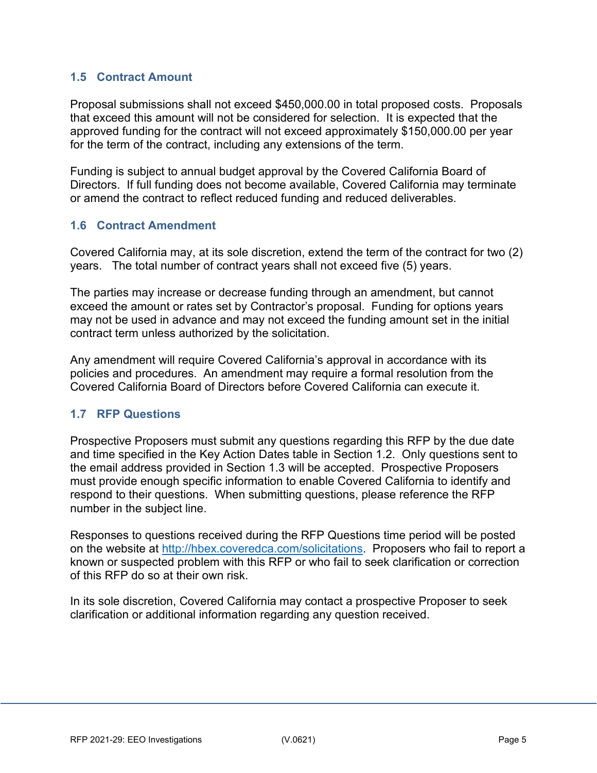## <span id="page-4-0"></span>**1.5 Contract Amount**

Proposal submissions shall not exceed \$450,000.00 in total proposed costs. Proposals that exceed this amount will not be considered for selection. It is expected that the approved funding for the contract will not exceed approximately \$150,000.00 per year for the term of the contract, including any extensions of the term.

Funding is subject to annual budget approval by the Covered California Board of Directors. If full funding does not become available, Covered California may terminate or amend the contract to reflect reduced funding and reduced deliverables.

## <span id="page-4-1"></span>**1.6 Contract Amendment**

Covered California may, at its sole discretion, extend the term of the contract for two (2) years. The total number of contract years shall not exceed five (5) years.

The parties may increase or decrease funding through an amendment, but cannot exceed the amount or rates set by Contractor's proposal. Funding for options years may not be used in advance and may not exceed the funding amount set in the initial contract term unless authorized by the solicitation.

Any amendment will require Covered California's approval in accordance with its policies and procedures. An amendment may require a formal resolution from the Covered California Board of Directors before Covered California can execute it.

## <span id="page-4-2"></span>**1.7 RFP Questions**

Prospective Proposers must submit any questions regarding this RFP by the due date and time specified in the Key Action Dates table in Section 1.2. Only questions sent to the email address provided in Section 1.3 will be accepted. Prospective Proposers must provide enough specific information to enable Covered California to identify and respond to their questions. When submitting questions, please reference the RFP number in the subject line.

Responses to questions received during the RFP Questions time period will be posted on the website at [http://hbex.coveredca.com/solicitations.](http://hbex.coveredca.com/solicitations/) Proposers who fail to report a known or suspected problem with this RFP or who fail to seek clarification or correction of this RFP do so at their own risk.

In its sole discretion, Covered California may contact a prospective Proposer to seek clarification or additional information regarding any question received.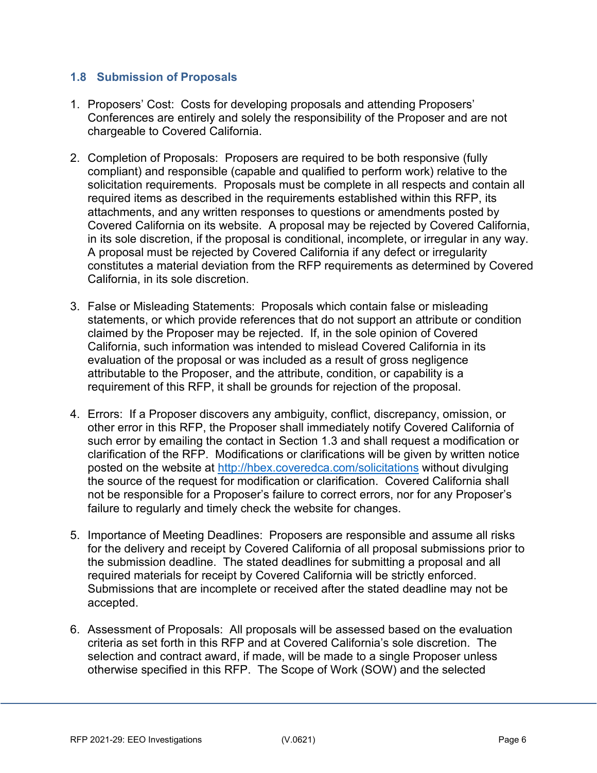## <span id="page-5-0"></span>**1.8 Submission of Proposals**

- 1. Proposers' Cost: Costs for developing proposals and attending Proposers' Conferences are entirely and solely the responsibility of the Proposer and are not chargeable to Covered California.
- 2. Completion of Proposals: Proposers are required to be both responsive (fully compliant) and responsible (capable and qualified to perform work) relative to the solicitation requirements. Proposals must be complete in all respects and contain all required items as described in the requirements established within this RFP, its attachments, and any written responses to questions or amendments posted by Covered California on its website. A proposal may be rejected by Covered California, in its sole discretion, if the proposal is conditional, incomplete, or irregular in any way. A proposal must be rejected by Covered California if any defect or irregularity constitutes a material deviation from the RFP requirements as determined by Covered California, in its sole discretion.
- 3. False or Misleading Statements: Proposals which contain false or misleading statements, or which provide references that do not support an attribute or condition claimed by the Proposer may be rejected. If, in the sole opinion of Covered California, such information was intended to mislead Covered California in its evaluation of the proposal or was included as a result of gross negligence attributable to the Proposer, and the attribute, condition, or capability is a requirement of this RFP, it shall be grounds for rejection of the proposal.
- 4. Errors: If a Proposer discovers any ambiguity, conflict, discrepancy, omission, or other error in this RFP, the Proposer shall immediately notify Covered California of such error by emailing the contact in Section 1.3 and shall request a modification or clarification of the RFP. Modifications or clarifications will be given by written notice posted on the website at [http://hbex.coveredca.com/solicitations](http://hbex.coveredca.com/solicitations/) without divulging the source of the request for modification or clarification. Covered California shall not be responsible for a Proposer's failure to correct errors, nor for any Proposer's failure to regularly and timely check the website for changes.
- 5. Importance of Meeting Deadlines: Proposers are responsible and assume all risks for the delivery and receipt by Covered California of all proposal submissions prior to the submission deadline. The stated deadlines for submitting a proposal and all required materials for receipt by Covered California will be strictly enforced. Submissions that are incomplete or received after the stated deadline may not be accepted.
- 6. Assessment of Proposals: All proposals will be assessed based on the evaluation criteria as set forth in this RFP and at Covered California's sole discretion. The selection and contract award, if made, will be made to a single Proposer unless otherwise specified in this RFP. The Scope of Work (SOW) and the selected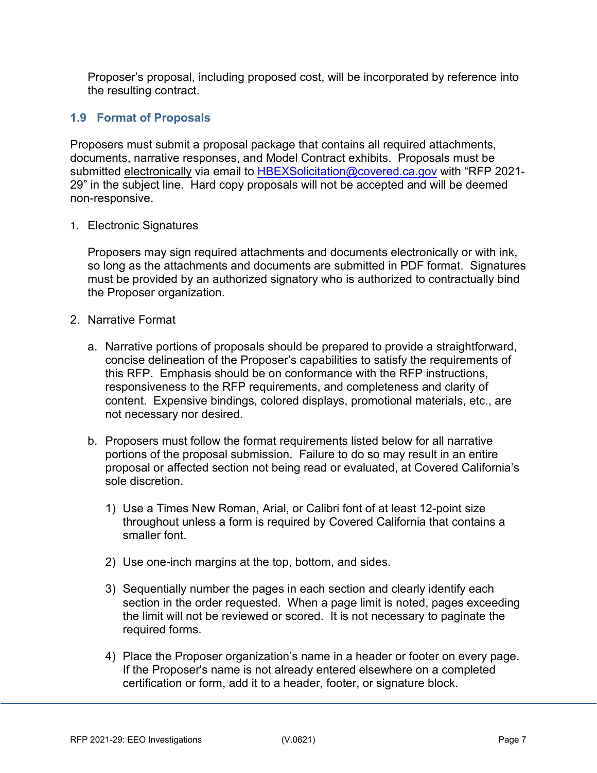Proposer's proposal, including proposed cost, will be incorporated by reference into the resulting contract.

## <span id="page-6-0"></span>**1.9 Format of Proposals**

Proposers must submit a proposal package that contains all required attachments, documents, narrative responses, and Model Contract exhibits. Proposals must be submitted electronically via email to [HBEXSolicitation@covered.ca.gov](mailto:HBEXSolicitation@covered.ca.gov) with "RFP 2021-29" in the subject line. Hard copy proposals will not be accepted and will be deemed non-responsive.

1. Electronic Signatures

Proposers may sign required attachments and documents electronically or with ink, so long as the attachments and documents are submitted in PDF format. Signatures must be provided by an authorized signatory who is authorized to contractually bind the Proposer organization.

- 2. Narrative Format
	- a. Narrative portions of proposals should be prepared to provide a straightforward, concise delineation of the Proposer's capabilities to satisfy the requirements of this RFP. Emphasis should be on conformance with the RFP instructions, responsiveness to the RFP requirements, and completeness and clarity of content. Expensive bindings, colored displays, promotional materials, etc., are not necessary nor desired.
	- b. Proposers must follow the format requirements listed below for all narrative portions of the proposal submission. Failure to do so may result in an entire proposal or affected section not being read or evaluated, at Covered California's sole discretion.
		- 1) Use a Times New Roman, Arial, or Calibri font of at least 12-point size throughout unless a form is required by Covered California that contains a smaller font.
		- 2) Use one-inch margins at the top, bottom, and sides.
		- 3) Sequentially number the pages in each section and clearly identify each section in the order requested. When a page limit is noted, pages exceeding the limit will not be reviewed or scored. It is not necessary to paginate the required forms.
		- 4) Place the Proposer organization's name in a header or footer on every page. If the Proposer's name is not already entered elsewhere on a completed certification or form, add it to a header, footer, or signature block.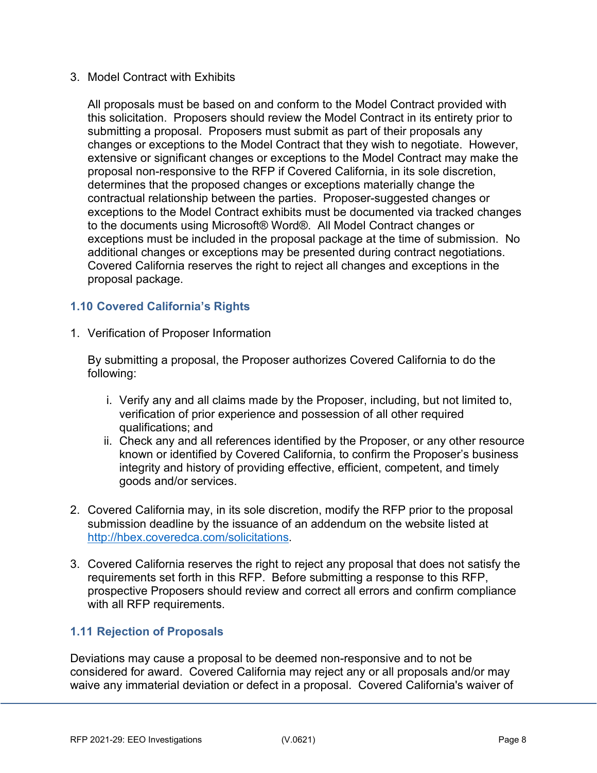#### 3. Model Contract with Exhibits

All proposals must be based on and conform to the Model Contract provided with this solicitation. Proposers should review the Model Contract in its entirety prior to submitting a proposal. Proposers must submit as part of their proposals any changes or exceptions to the Model Contract that they wish to negotiate. However, extensive or significant changes or exceptions to the Model Contract may make the proposal non-responsive to the RFP if Covered California, in its sole discretion, determines that the proposed changes or exceptions materially change the contractual relationship between the parties. Proposer-suggested changes or exceptions to the Model Contract exhibits must be documented via tracked changes to the documents using Microsoft® Word®. All Model Contract changes or exceptions must be included in the proposal package at the time of submission. No additional changes or exceptions may be presented during contract negotiations. Covered California reserves the right to reject all changes and exceptions in the proposal package.

## <span id="page-7-0"></span>**1.10 Covered California's Rights**

1. Verification of Proposer Information

By submitting a proposal, the Proposer authorizes Covered California to do the following:

- i. Verify any and all claims made by the Proposer, including, but not limited to, verification of prior experience and possession of all other required qualifications; and
- ii. Check any and all references identified by the Proposer, or any other resource known or identified by Covered California, to confirm the Proposer's business integrity and history of providing effective, efficient, competent, and timely goods and/or services.
- 2. Covered California may, in its sole discretion, modify the RFP prior to the proposal submission deadline by the issuance of an addendum on the website listed at [http://hbex.coveredca.com/solicitations.](http://hbex.coveredca.com/solicitations/)
- 3. Covered California reserves the right to reject any proposal that does not satisfy the requirements set forth in this RFP. Before submitting a response to this RFP, prospective Proposers should review and correct all errors and confirm compliance with all RFP requirements.

## <span id="page-7-1"></span>**1.11 Rejection of Proposals**

Deviations may cause a proposal to be deemed non-responsive and to not be considered for award. Covered California may reject any or all proposals and/or may waive any immaterial deviation or defect in a proposal. Covered California's waiver of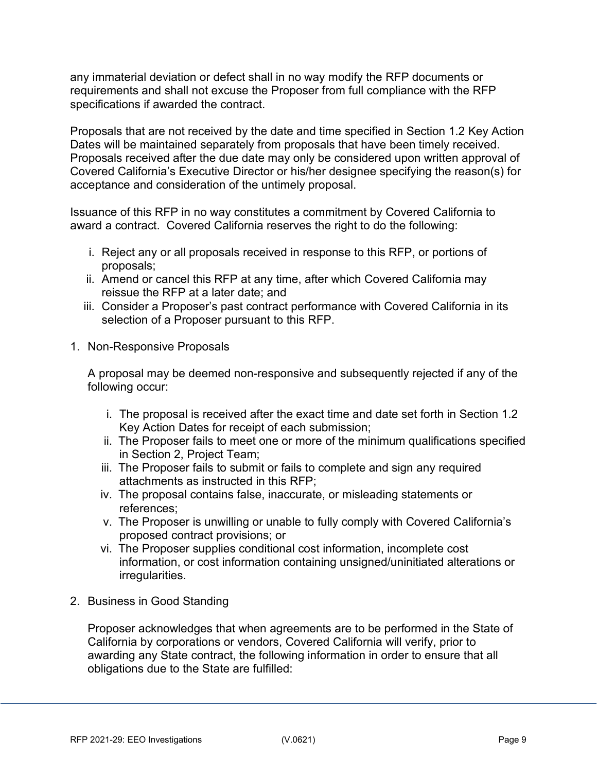any immaterial deviation or defect shall in no way modify the RFP documents or requirements and shall not excuse the Proposer from full compliance with the RFP specifications if awarded the contract.

Proposals that are not received by the date and time specified in Section 1.2 Key Action Dates will be maintained separately from proposals that have been timely received. Proposals received after the due date may only be considered upon written approval of Covered California's Executive Director or his/her designee specifying the reason(s) for acceptance and consideration of the untimely proposal.

Issuance of this RFP in no way constitutes a commitment by Covered California to award a contract. Covered California reserves the right to do the following:

- i. Reject any or all proposals received in response to this RFP, or portions of proposals;
- ii. Amend or cancel this RFP at any time, after which Covered California may reissue the RFP at a later date; and
- iii. Consider a Proposer's past contract performance with Covered California in its selection of a Proposer pursuant to this RFP.
- 1. Non-Responsive Proposals

A proposal may be deemed non-responsive and subsequently rejected if any of the following occur:

- i. The proposal is received after the exact time and date set forth in Section 1.2 Key Action Dates for receipt of each submission;
- ii. The Proposer fails to meet one or more of the minimum qualifications specified in Section 2, Project Team;
- iii. The Proposer fails to submit or fails to complete and sign any required attachments as instructed in this RFP;
- iv. The proposal contains false, inaccurate, or misleading statements or references;
- v. The Proposer is unwilling or unable to fully comply with Covered California's proposed contract provisions; or
- vi. The Proposer supplies conditional cost information, incomplete cost information, or cost information containing unsigned/uninitiated alterations or irregularities.
- 2. Business in Good Standing

Proposer acknowledges that when agreements are to be performed in the State of California by corporations or vendors, Covered California will verify, prior to awarding any State contract, the following information in order to ensure that all obligations due to the State are fulfilled: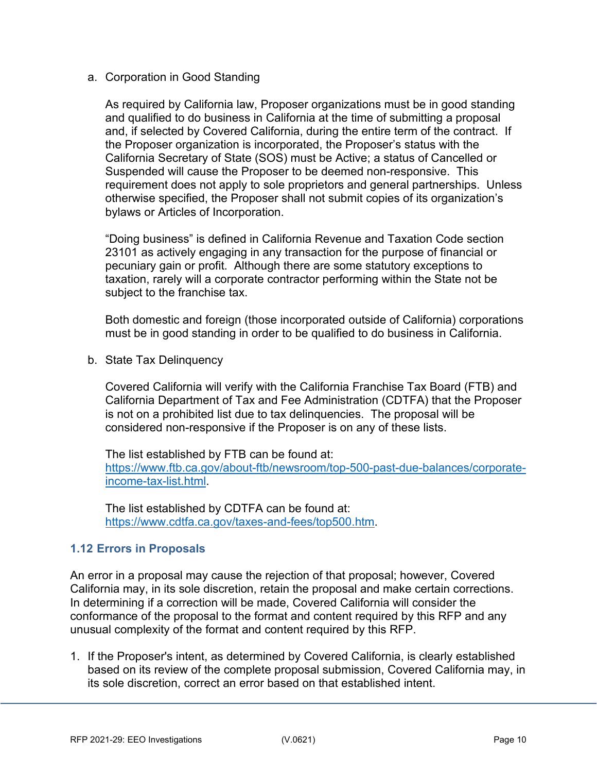a. Corporation in Good Standing

As required by California law, Proposer organizations must be in good standing and qualified to do business in California at the time of submitting a proposal and, if selected by Covered California, during the entire term of the contract. If the Proposer organization is incorporated, the Proposer's status with the California Secretary of State (SOS) must be Active; a status of Cancelled or Suspended will cause the Proposer to be deemed non-responsive. This requirement does not apply to sole proprietors and general partnerships. Unless otherwise specified, the Proposer shall not submit copies of its organization's bylaws or Articles of Incorporation.

"Doing business" is defined in California Revenue and Taxation Code section 23101 as actively engaging in any transaction for the purpose of financial or pecuniary gain or profit. Although there are some statutory exceptions to taxation, rarely will a corporate contractor performing within the State not be subject to the franchise tax.

Both domestic and foreign (those incorporated outside of California) corporations must be in good standing in order to be qualified to do business in California.

b. State Tax Delinquency

Covered California will verify with the California Franchise Tax Board (FTB) and California Department of Tax and Fee Administration (CDTFA) that the Proposer is not on a prohibited list due to tax delinquencies. The proposal will be considered non-responsive if the Proposer is on any of these lists.

The list established by FTB can be found at: [https://www.ftb.ca.gov/about-ftb/newsroom/top-500-past-due-balances/corporate](https://gcc01.safelinks.protection.outlook.com/?url=https%3A%2F%2Fwww.ftb.ca.gov%2Fabout-ftb%2Fnewsroom%2Ftop-500-past-due-balances%2Fcorporate-income-tax-list.html&data=02%7C01%7CKarissa.Kanenaga%40covered.ca.gov%7C9ba1ee4bdbfb4d212a9808d6fbf38d78%7C466d2f7db1424b9c8cddeba5537a0f27%7C0%7C0%7C636973420802292691&sdata=ChGa6PUscbb9EMoluuHA1Mpba6jZOhDsOceDG5jTk1A%3D&reserved=0)[income-tax-list.html.](https://gcc01.safelinks.protection.outlook.com/?url=https%3A%2F%2Fwww.ftb.ca.gov%2Fabout-ftb%2Fnewsroom%2Ftop-500-past-due-balances%2Fcorporate-income-tax-list.html&data=02%7C01%7CKarissa.Kanenaga%40covered.ca.gov%7C9ba1ee4bdbfb4d212a9808d6fbf38d78%7C466d2f7db1424b9c8cddeba5537a0f27%7C0%7C0%7C636973420802292691&sdata=ChGa6PUscbb9EMoluuHA1Mpba6jZOhDsOceDG5jTk1A%3D&reserved=0)

The list established by CDTFA can be found at: [https://www.cdtfa.ca.gov/taxes-and-fees/top500.htm.](https://www.cdtfa.ca.gov/taxes-and-fees/top500.htm)

## <span id="page-9-0"></span>**1.12 Errors in Proposals**

An error in a proposal may cause the rejection of that proposal; however, Covered California may, in its sole discretion, retain the proposal and make certain corrections. In determining if a correction will be made, Covered California will consider the conformance of the proposal to the format and content required by this RFP and any unusual complexity of the format and content required by this RFP.

1. If the Proposer's intent, as determined by Covered California, is clearly established based on its review of the complete proposal submission, Covered California may, in its sole discretion, correct an error based on that established intent.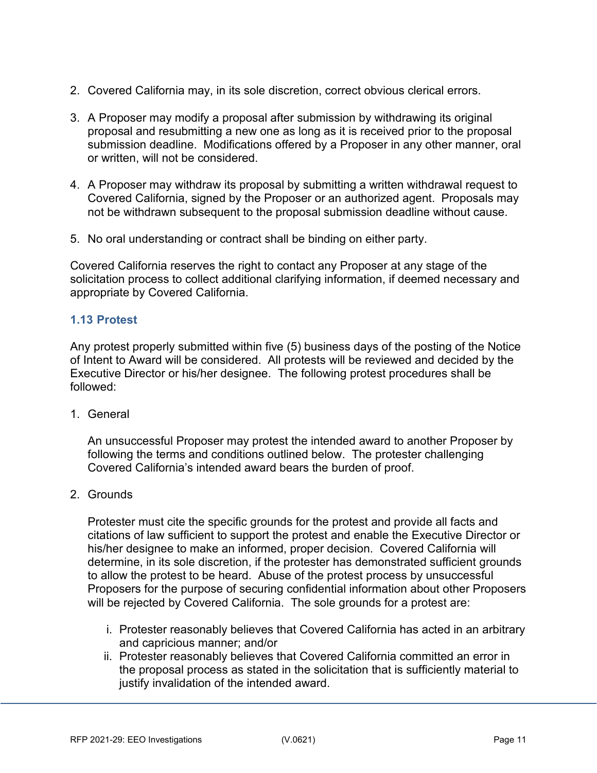- 2. Covered California may, in its sole discretion, correct obvious clerical errors.
- 3. A Proposer may modify a proposal after submission by withdrawing its original proposal and resubmitting a new one as long as it is received prior to the proposal submission deadline. Modifications offered by a Proposer in any other manner, oral or written, will not be considered.
- 4. A Proposer may withdraw its proposal by submitting a written withdrawal request to Covered California, signed by the Proposer or an authorized agent. Proposals may not be withdrawn subsequent to the proposal submission deadline without cause.
- 5. No oral understanding or contract shall be binding on either party.

Covered California reserves the right to contact any Proposer at any stage of the solicitation process to collect additional clarifying information, if deemed necessary and appropriate by Covered California.

## <span id="page-10-0"></span>**1.13 Protest**

Any protest properly submitted within five (5) business days of the posting of the Notice of Intent to Award will be considered. All protests will be reviewed and decided by the Executive Director or his/her designee. The following protest procedures shall be followed:

1. General

An unsuccessful Proposer may protest the intended award to another Proposer by following the terms and conditions outlined below. The protester challenging Covered California's intended award bears the burden of proof.

2. Grounds

Protester must cite the specific grounds for the protest and provide all facts and citations of law sufficient to support the protest and enable the Executive Director or his/her designee to make an informed, proper decision. Covered California will determine, in its sole discretion, if the protester has demonstrated sufficient grounds to allow the protest to be heard. Abuse of the protest process by unsuccessful Proposers for the purpose of securing confidential information about other Proposers will be rejected by Covered California. The sole grounds for a protest are:

- i. Protester reasonably believes that Covered California has acted in an arbitrary and capricious manner; and/or
- ii. Protester reasonably believes that Covered California committed an error in the proposal process as stated in the solicitation that is sufficiently material to justify invalidation of the intended award.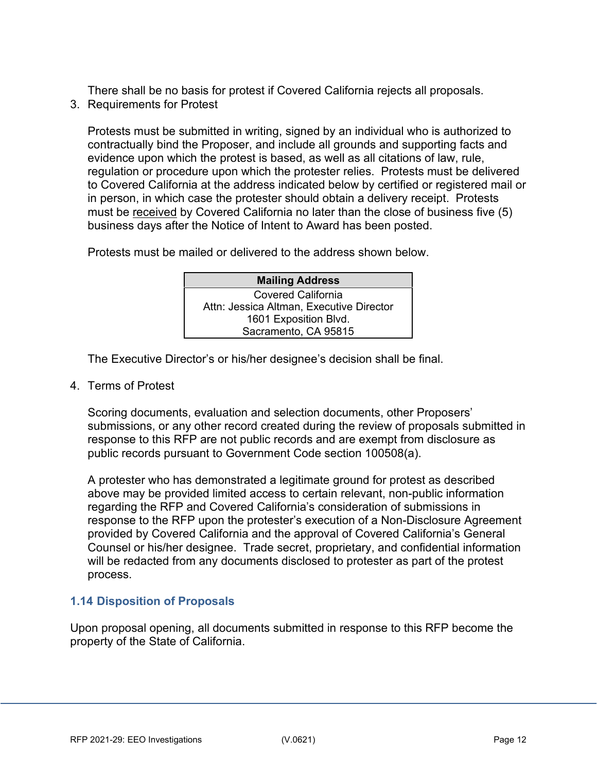There shall be no basis for protest if Covered California rejects all proposals.

3. Requirements for Protest

Protests must be submitted in writing, signed by an individual who is authorized to contractually bind the Proposer, and include all grounds and supporting facts and evidence upon which the protest is based, as well as all citations of law, rule, regulation or procedure upon which the protester relies. Protests must be delivered to Covered California at the address indicated below by certified or registered mail or in person, in which case the protester should obtain a delivery receipt. Protests must be received by Covered California no later than the close of business five (5) business days after the Notice of Intent to Award has been posted.

Protests must be mailed or delivered to the address shown below.

| <b>Mailing Address</b>                   |  |
|------------------------------------------|--|
| Covered California                       |  |
| Attn: Jessica Altman, Executive Director |  |
| 1601 Exposition Blvd.                    |  |
| Sacramento, CA 95815                     |  |

The Executive Director's or his/her designee's decision shall be final.

4. Terms of Protest

Scoring documents, evaluation and selection documents, other Proposers' submissions, or any other record created during the review of proposals submitted in response to this RFP are not public records and are exempt from disclosure as public records pursuant to Government Code section 100508(a).

A protester who has demonstrated a legitimate ground for protest as described above may be provided limited access to certain relevant, non-public information regarding the RFP and Covered California's consideration of submissions in response to the RFP upon the protester's execution of a Non-Disclosure Agreement provided by Covered California and the approval of Covered California's General Counsel or his/her designee. Trade secret, proprietary, and confidential information will be redacted from any documents disclosed to protester as part of the protest process.

## <span id="page-11-0"></span>**1.14 Disposition of Proposals**

Upon proposal opening, all documents submitted in response to this RFP become the property of the State of California.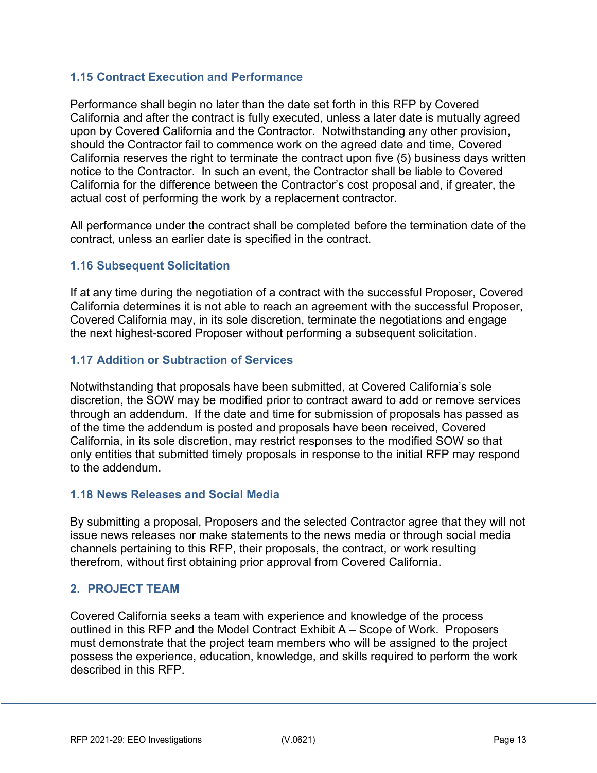## <span id="page-12-0"></span>**1.15 Contract Execution and Performance**

Performance shall begin no later than the date set forth in this RFP by Covered California and after the contract is fully executed, unless a later date is mutually agreed upon by Covered California and the Contractor. Notwithstanding any other provision, should the Contractor fail to commence work on the agreed date and time, Covered California reserves the right to terminate the contract upon five (5) business days written notice to the Contractor. In such an event, the Contractor shall be liable to Covered California for the difference between the Contractor's cost proposal and, if greater, the actual cost of performing the work by a replacement contractor.

All performance under the contract shall be completed before the termination date of the contract, unless an earlier date is specified in the contract.

## <span id="page-12-1"></span>**1.16 Subsequent Solicitation**

If at any time during the negotiation of a contract with the successful Proposer, Covered California determines it is not able to reach an agreement with the successful Proposer, Covered California may, in its sole discretion, terminate the negotiations and engage the next highest-scored Proposer without performing a subsequent solicitation.

## <span id="page-12-2"></span>**1.17 Addition or Subtraction of Services**

Notwithstanding that proposals have been submitted, at Covered California's sole discretion, the SOW may be modified prior to contract award to add or remove services through an addendum. If the date and time for submission of proposals has passed as of the time the addendum is posted and proposals have been received, Covered California, in its sole discretion, may restrict responses to the modified SOW so that only entities that submitted timely proposals in response to the initial RFP may respond to the addendum.

## <span id="page-12-3"></span>**1.18 News Releases and Social Media**

By submitting a proposal, Proposers and the selected Contractor agree that they will not issue news releases nor make statements to the news media or through social media channels pertaining to this RFP, their proposals, the contract, or work resulting therefrom, without first obtaining prior approval from Covered California.

## <span id="page-12-4"></span>**2. PROJECT TEAM**

Covered California seeks a team with experience and knowledge of the process outlined in this RFP and the Model Contract Exhibit A – Scope of Work. Proposers must demonstrate that the project team members who will be assigned to the project possess the experience, education, knowledge, and skills required to perform the work described in this RFP.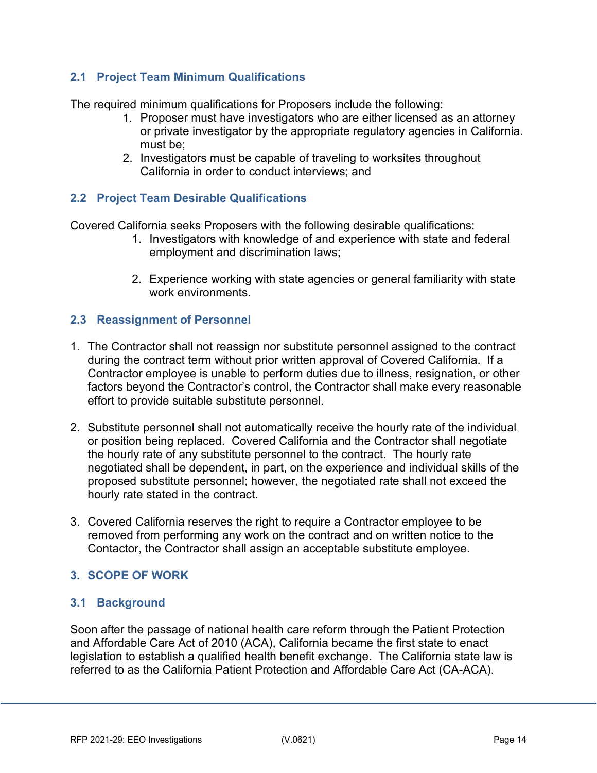## <span id="page-13-0"></span>**2.1 Project Team Minimum Qualifications**

The required minimum qualifications for Proposers include the following:

- 1. Proposer must have investigators who are either licensed as an attorney or private investigator by the appropriate regulatory agencies in California. must be;
- 2. Investigators must be capable of traveling to worksites throughout California in order to conduct interviews; and

## <span id="page-13-1"></span>**2.2 Project Team Desirable Qualifications**

Covered California seeks Proposers with the following desirable qualifications:

- 1. Investigators with knowledge of and experience with state and federal employment and discrimination laws;
- 2. Experience working with state agencies or general familiarity with state work environments.

## <span id="page-13-2"></span>**2.3 Reassignment of Personnel**

- 1. The Contractor shall not reassign nor substitute personnel assigned to the contract during the contract term without prior written approval of Covered California. If a Contractor employee is unable to perform duties due to illness, resignation, or other factors beyond the Contractor's control, the Contractor shall make every reasonable effort to provide suitable substitute personnel.
- 2. Substitute personnel shall not automatically receive the hourly rate of the individual or position being replaced. Covered California and the Contractor shall negotiate the hourly rate of any substitute personnel to the contract. The hourly rate negotiated shall be dependent, in part, on the experience and individual skills of the proposed substitute personnel; however, the negotiated rate shall not exceed the hourly rate stated in the contract.
- 3. Covered California reserves the right to require a Contractor employee to be removed from performing any work on the contract and on written notice to the Contactor, the Contractor shall assign an acceptable substitute employee.

## <span id="page-13-3"></span>**3. SCOPE OF WORK**

## <span id="page-13-4"></span>**3.1 Background**

Soon after the passage of national health care reform through the Patient Protection and Affordable Care Act of 2010 (ACA), California became the first state to enact legislation to establish a qualified health benefit exchange. The California state law is referred to as the California Patient Protection and Affordable Care Act (CA-ACA).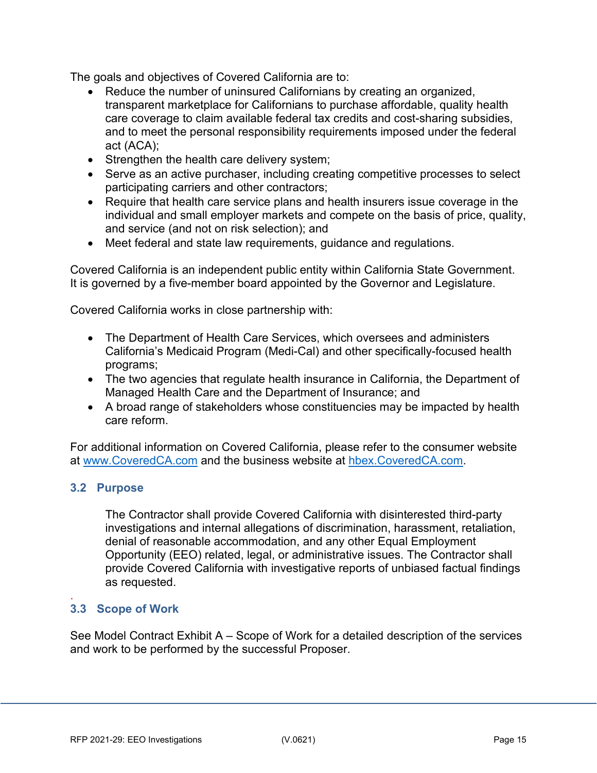The goals and objectives of Covered California are to:

- Reduce the number of uninsured Californians by creating an organized, transparent marketplace for Californians to purchase affordable, quality health care coverage to claim available federal tax credits and cost-sharing subsidies, and to meet the personal responsibility requirements imposed under the federal act (ACA);
- Strengthen the health care delivery system;
- Serve as an active purchaser, including creating competitive processes to select participating carriers and other contractors;
- Require that health care service plans and health insurers issue coverage in the individual and small employer markets and compete on the basis of price, quality, and service (and not on risk selection); and
- Meet federal and state law requirements, guidance and regulations.

Covered California is an independent public entity within California State Government. It is governed by a five-member board appointed by the Governor and Legislature.

Covered California works in close partnership with:

- The Department of Health Care Services, which oversees and administers California's Medicaid Program (Medi-Cal) and other specifically-focused health programs;
- The two agencies that regulate health insurance in California, the Department of Managed Health Care and the Department of Insurance; and
- A broad range of stakeholders whose constituencies may be impacted by health care reform.

For additional information on Covered California, please refer to the consumer website at [www.CoveredCA.com](http://www.coveredca.com/) and the business website at [hbex.CoveredCA.com.](https://hbex.coveredca.com/)

## <span id="page-14-0"></span>**3.2 Purpose**

The Contractor shall provide Covered California with disinterested third-party investigations and internal allegations of discrimination, harassment, retaliation, denial of reasonable accommodation, and any other Equal Employment Opportunity (EEO) related, legal, or administrative issues. The Contractor shall provide Covered California with investigative reports of unbiased factual findings as requested.

#### <span id="page-14-1"></span>. **3.3 Scope of Work**

See Model Contract Exhibit A – Scope of Work for a detailed description of the services and work to be performed by the successful Proposer.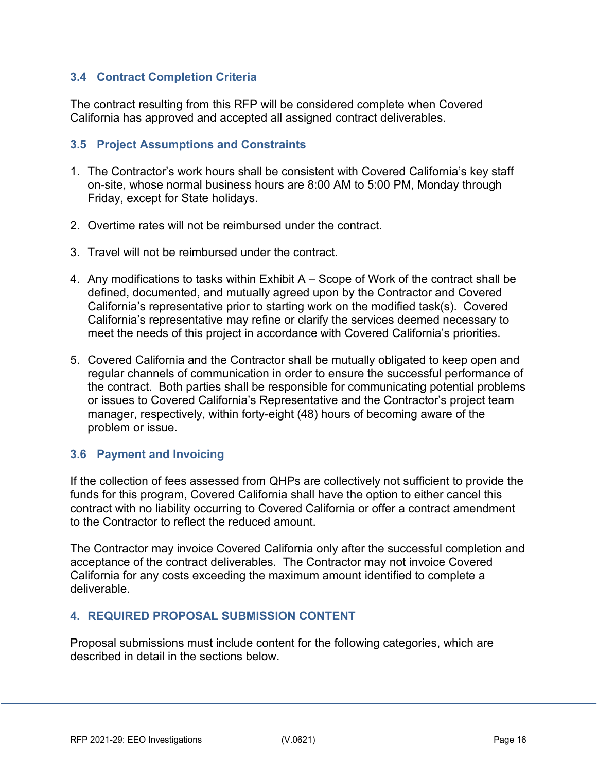## <span id="page-15-0"></span>**3.4 Contract Completion Criteria**

The contract resulting from this RFP will be considered complete when Covered California has approved and accepted all assigned contract deliverables.

#### <span id="page-15-1"></span>**3.5 Project Assumptions and Constraints**

- 1. The Contractor's work hours shall be consistent with Covered California's key staff on-site, whose normal business hours are 8:00 AM to 5:00 PM, Monday through Friday, except for State holidays.
- 2. Overtime rates will not be reimbursed under the contract.
- 3. Travel will not be reimbursed under the contract.
- 4. Any modifications to tasks within Exhibit A Scope of Work of the contract shall be defined, documented, and mutually agreed upon by the Contractor and Covered California's representative prior to starting work on the modified task(s). Covered California's representative may refine or clarify the services deemed necessary to meet the needs of this project in accordance with Covered California's priorities.
- 5. Covered California and the Contractor shall be mutually obligated to keep open and regular channels of communication in order to ensure the successful performance of the contract. Both parties shall be responsible for communicating potential problems or issues to Covered California's Representative and the Contractor's project team manager, respectively, within forty-eight (48) hours of becoming aware of the problem or issue.

## <span id="page-15-2"></span>**3.6 Payment and Invoicing**

If the collection of fees assessed from QHPs are collectively not sufficient to provide the funds for this program, Covered California shall have the option to either cancel this contract with no liability occurring to Covered California or offer a contract amendment to the Contractor to reflect the reduced amount.

The Contractor may invoice Covered California only after the successful completion and acceptance of the contract deliverables. The Contractor may not invoice Covered California for any costs exceeding the maximum amount identified to complete a deliverable.

## <span id="page-15-3"></span>**4. REQUIRED PROPOSAL SUBMISSION CONTENT**

Proposal submissions must include content for the following categories, which are described in detail in the sections below.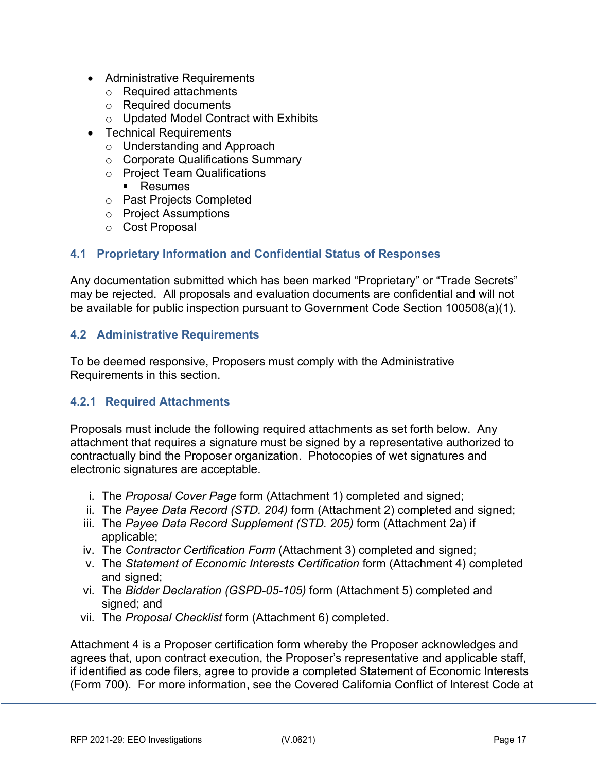- Administrative Requirements
	- o Required attachments
	- o Required documents
	- o Updated Model Contract with Exhibits
- Technical Requirements
	- o Understanding and Approach
	- o Corporate Qualifications Summary
	- o Project Team Qualifications
		- **Resumes**
	- o Past Projects Completed
	- o Project Assumptions
	- o Cost Proposal

# <span id="page-16-0"></span>**4.1 Proprietary Information and Confidential Status of Responses**

Any documentation submitted which has been marked "Proprietary" or "Trade Secrets" may be rejected. All proposals and evaluation documents are confidential and will not be available for public inspection pursuant to Government Code Section 100508(a)(1).

## <span id="page-16-1"></span>**4.2 Administrative Requirements**

To be deemed responsive, Proposers must comply with the Administrative Requirements in this section.

## **4.2.1 Required Attachments**

Proposals must include the following required attachments as set forth below. Any attachment that requires a signature must be signed by a representative authorized to contractually bind the Proposer organization. Photocopies of wet signatures and electronic signatures are acceptable.

- i. The *Proposal Cover Page* form (Attachment 1) completed and signed;
- ii. The *Payee Data Record (STD. 204)* form (Attachment 2) completed and signed;
- iii. The *Payee Data Record Supplement (STD. 205)* form (Attachment 2a) if applicable;
- iv. The *Contractor Certification Form* (Attachment 3) completed and signed;
- v. The *Statement of Economic Interests Certification* form (Attachment 4) completed and signed:
- vi. The *Bidder Declaration (GSPD-05-105)* form (Attachment 5) completed and signed; and
- vii. The *Proposal Checklist* form (Attachment 6) completed.

Attachment 4 is a Proposer certification form whereby the Proposer acknowledges and agrees that, upon contract execution, the Proposer's representative and applicable staff, if identified as code filers, agree to provide a completed Statement of Economic Interests (Form 700). For more information, see the Covered California Conflict of Interest Code at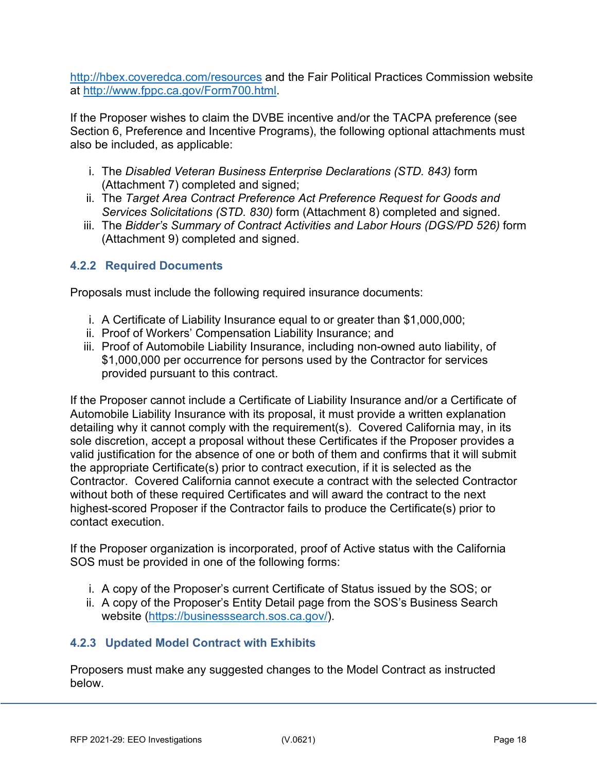<http://hbex.coveredca.com/resources> and the Fair Political Practices Commission website at [http://www.fppc.ca.gov/Form700.html.](http://www.fppc.ca.gov/Form700.html)

If the Proposer wishes to claim the DVBE incentive and/or the TACPA preference (see Section 6, Preference and Incentive Programs), the following optional attachments must also be included, as applicable:

- i. The *Disabled Veteran Business Enterprise Declarations (STD. 843)* form (Attachment 7) completed and signed;
- ii. The *Target Area Contract Preference Act Preference Request for Goods and Services Solicitations (STD. 830)* form (Attachment 8) completed and signed.
- iii. The *Bidder's Summary of Contract Activities and Labor Hours (DGS/PD 526)* form (Attachment 9) completed and signed.

## **4.2.2 Required Documents**

Proposals must include the following required insurance documents:

- i. A Certificate of Liability Insurance equal to or greater than \$1,000,000;
- ii. Proof of Workers' Compensation Liability Insurance; and
- iii. Proof of Automobile Liability Insurance, including non-owned auto liability, of \$1,000,000 per occurrence for persons used by the Contractor for services provided pursuant to this contract.

If the Proposer cannot include a Certificate of Liability Insurance and/or a Certificate of Automobile Liability Insurance with its proposal, it must provide a written explanation detailing why it cannot comply with the requirement(s). Covered California may, in its sole discretion, accept a proposal without these Certificates if the Proposer provides a valid justification for the absence of one or both of them and confirms that it will submit the appropriate Certificate(s) prior to contract execution, if it is selected as the Contractor. Covered California cannot execute a contract with the selected Contractor without both of these required Certificates and will award the contract to the next highest-scored Proposer if the Contractor fails to produce the Certificate(s) prior to contact execution.

If the Proposer organization is incorporated, proof of Active status with the California SOS must be provided in one of the following forms:

- i. A copy of the Proposer's current Certificate of Status issued by the SOS; or
- ii. A copy of the Proposer's Entity Detail page from the SOS's Business Search website [\(https://businesssearch.sos.ca.gov/\)](https://businesssearch.sos.ca.gov/).

## **4.2.3 Updated Model Contract with Exhibits**

Proposers must make any suggested changes to the Model Contract as instructed below.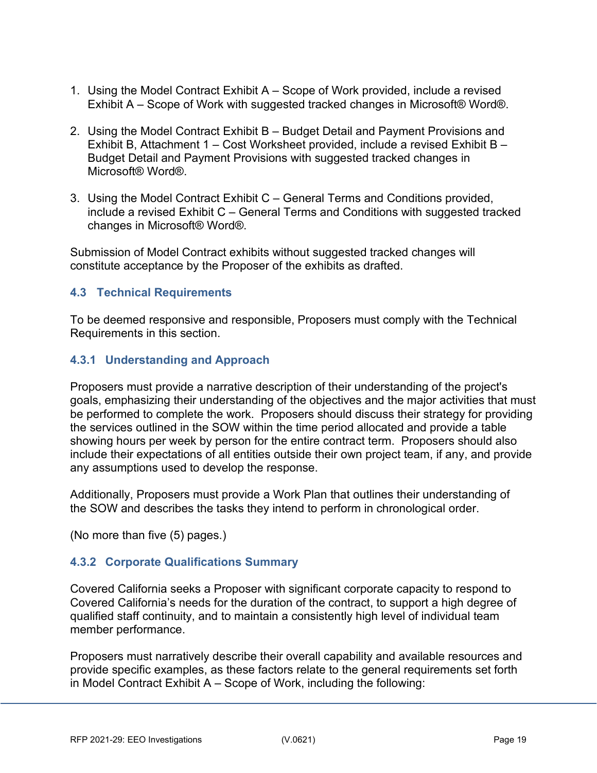- 1. Using the Model Contract Exhibit A Scope of Work provided, include a revised Exhibit A – Scope of Work with suggested tracked changes in Microsoft® Word®.
- 2. Using the Model Contract Exhibit B Budget Detail and Payment Provisions and Exhibit B, Attachment 1 – Cost Worksheet provided, include a revised Exhibit B – Budget Detail and Payment Provisions with suggested tracked changes in Microsoft® Word®.
- 3. Using the Model Contract Exhibit C General Terms and Conditions provided, include a revised Exhibit C – General Terms and Conditions with suggested tracked changes in Microsoft® Word®.

Submission of Model Contract exhibits without suggested tracked changes will constitute acceptance by the Proposer of the exhibits as drafted.

## <span id="page-18-0"></span>**4.3 Technical Requirements**

To be deemed responsive and responsible, Proposers must comply with the Technical Requirements in this section.

## **4.3.1 Understanding and Approach**

Proposers must provide a narrative description of their understanding of the project's goals, emphasizing their understanding of the objectives and the major activities that must be performed to complete the work. Proposers should discuss their strategy for providing the services outlined in the SOW within the time period allocated and provide a table showing hours per week by person for the entire contract term. Proposers should also include their expectations of all entities outside their own project team, if any, and provide any assumptions used to develop the response.

Additionally, Proposers must provide a Work Plan that outlines their understanding of the SOW and describes the tasks they intend to perform in chronological order.

(No more than five (5) pages.)

## **4.3.2 Corporate Qualifications Summary**

Covered California seeks a Proposer with significant corporate capacity to respond to Covered California's needs for the duration of the contract, to support a high degree of qualified staff continuity, and to maintain a consistently high level of individual team member performance.

Proposers must narratively describe their overall capability and available resources and provide specific examples, as these factors relate to the general requirements set forth in Model Contract Exhibit A – Scope of Work, including the following: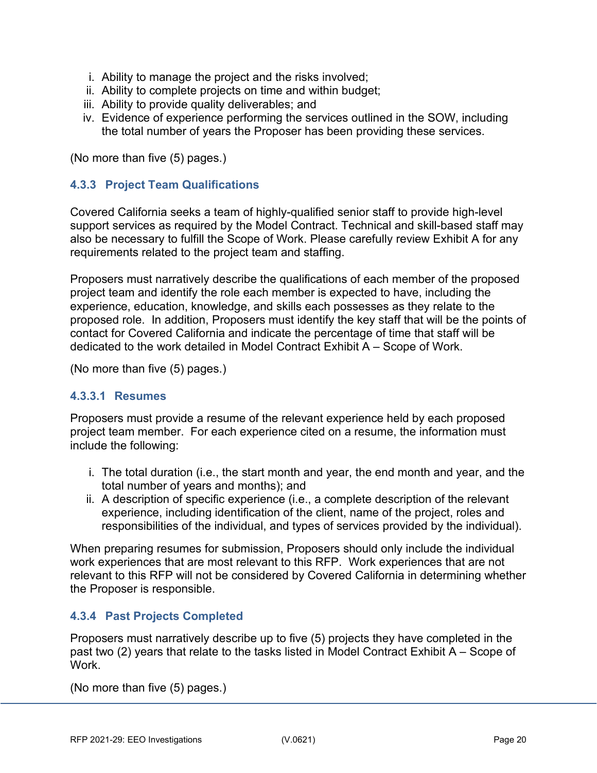- i. Ability to manage the project and the risks involved;
- ii. Ability to complete projects on time and within budget;
- iii. Ability to provide quality deliverables; and
- iv. Evidence of experience performing the services outlined in the SOW, including the total number of years the Proposer has been providing these services.

(No more than five (5) pages.)

## **4.3.3 Project Team Qualifications**

Covered California seeks a team of highly-qualified senior staff to provide high-level support services as required by the Model Contract. Technical and skill-based staff may also be necessary to fulfill the Scope of Work. Please carefully review Exhibit A for any requirements related to the project team and staffing.

Proposers must narratively describe the qualifications of each member of the proposed project team and identify the role each member is expected to have, including the experience, education, knowledge, and skills each possesses as they relate to the proposed role. In addition, Proposers must identify the key staff that will be the points of contact for Covered California and indicate the percentage of time that staff will be dedicated to the work detailed in Model Contract Exhibit A – Scope of Work.

(No more than five (5) pages.)

## **4.3.3.1 Resumes**

Proposers must provide a resume of the relevant experience held by each proposed project team member. For each experience cited on a resume, the information must include the following:

- i. The total duration (i.e., the start month and year, the end month and year, and the total number of years and months); and
- ii. A description of specific experience (i.e., a complete description of the relevant experience, including identification of the client, name of the project, roles and responsibilities of the individual, and types of services provided by the individual).

When preparing resumes for submission, Proposers should only include the individual work experiences that are most relevant to this RFP. Work experiences that are not relevant to this RFP will not be considered by Covered California in determining whether the Proposer is responsible.

## **4.3.4 Past Projects Completed**

Proposers must narratively describe up to five (5) projects they have completed in the past two (2) years that relate to the tasks listed in Model Contract Exhibit A – Scope of **Work** 

(No more than five (5) pages.)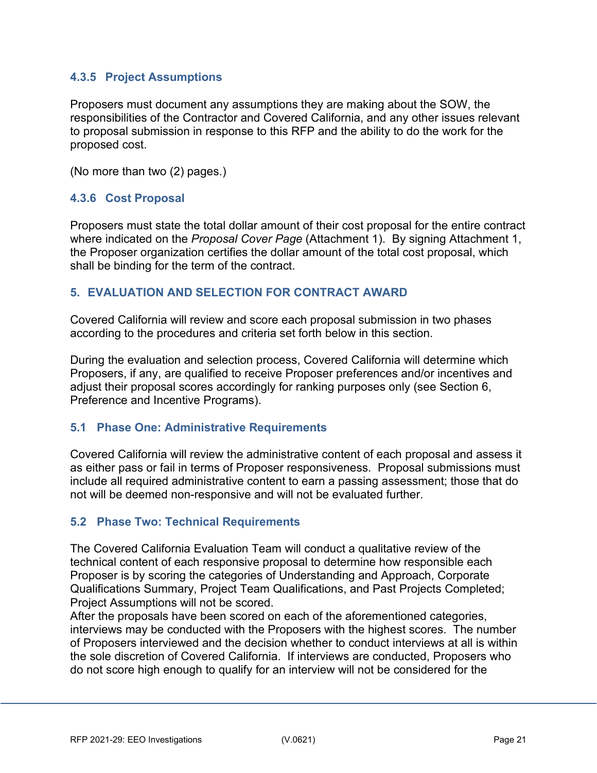## **4.3.5 Project Assumptions**

Proposers must document any assumptions they are making about the SOW, the responsibilities of the Contractor and Covered California, and any other issues relevant to proposal submission in response to this RFP and the ability to do the work for the proposed cost.

(No more than two (2) pages.)

## **4.3.6 Cost Proposal**

Proposers must state the total dollar amount of their cost proposal for the entire contract where indicated on the *Proposal Cover Page* (Attachment 1). By signing Attachment 1, the Proposer organization certifies the dollar amount of the total cost proposal, which shall be binding for the term of the contract.

#### <span id="page-20-0"></span>**5. EVALUATION AND SELECTION FOR CONTRACT AWARD**

Covered California will review and score each proposal submission in two phases according to the procedures and criteria set forth below in this section.

During the evaluation and selection process, Covered California will determine which Proposers, if any, are qualified to receive Proposer preferences and/or incentives and adjust their proposal scores accordingly for ranking purposes only (see Section 6, Preference and Incentive Programs).

## <span id="page-20-1"></span>**5.1 Phase One: Administrative Requirements**

Covered California will review the administrative content of each proposal and assess it as either pass or fail in terms of Proposer responsiveness. Proposal submissions must include all required administrative content to earn a passing assessment; those that do not will be deemed non-responsive and will not be evaluated further.

## <span id="page-20-2"></span>**5.2 Phase Two: Technical Requirements**

The Covered California Evaluation Team will conduct a qualitative review of the technical content of each responsive proposal to determine how responsible each Proposer is by scoring the categories of Understanding and Approach, Corporate Qualifications Summary, Project Team Qualifications, and Past Projects Completed; Project Assumptions will not be scored.

After the proposals have been scored on each of the aforementioned categories, interviews may be conducted with the Proposers with the highest scores. The number of Proposers interviewed and the decision whether to conduct interviews at all is within the sole discretion of Covered California. If interviews are conducted, Proposers who do not score high enough to qualify for an interview will not be considered for the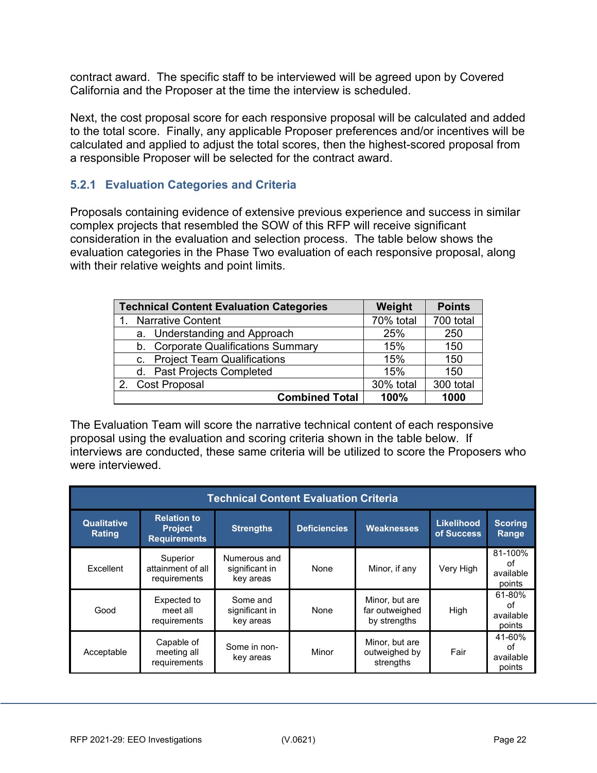contract award. The specific staff to be interviewed will be agreed upon by Covered California and the Proposer at the time the interview is scheduled.

Next, the cost proposal score for each responsive proposal will be calculated and added to the total score. Finally, any applicable Proposer preferences and/or incentives will be calculated and applied to adjust the total scores, then the highest-scored proposal from a responsible Proposer will be selected for the contract award.

## **5.2.1 Evaluation Categories and Criteria**

Proposals containing evidence of extensive previous experience and success in similar complex projects that resembled the SOW of this RFP will receive significant consideration in the evaluation and selection process. The table below shows the evaluation categories in the Phase Two evaluation of each responsive proposal, along with their relative weights and point limits.

| <b>Technical Content Evaluation Categories</b> | Weight    | <b>Points</b> |
|------------------------------------------------|-----------|---------------|
| <b>Narrative Content</b>                       | 70% total | 700 total     |
| a. Understanding and Approach                  | 25%       | 250           |
| b. Corporate Qualifications Summary            | 15%       | 150           |
| c. Project Team Qualifications                 | 15%       | 150           |
| d. Past Projects Completed                     | 15%       | 150           |
| 2. Cost Proposal                               | 30% total | 300 total     |
| <b>Combined Total</b>                          | 100%      | 1000          |

The Evaluation Team will score the narrative technical content of each responsive proposal using the evaluation and scoring criteria shown in the table below. If interviews are conducted, these same criteria will be utilized to score the Proposers who were interviewed.

|                                     | <b>Technical Content Evaluation Criteria</b>                |                                             |                     |                                                  |                                 |                                      |  |
|-------------------------------------|-------------------------------------------------------------|---------------------------------------------|---------------------|--------------------------------------------------|---------------------------------|--------------------------------------|--|
| <b>Qualitative</b><br><b>Rating</b> | <b>Relation to</b><br><b>Project</b><br><b>Requirements</b> | <b>Strengths</b>                            | <b>Deficiencies</b> | <b>Weaknesses</b>                                | <b>Likelihood</b><br>of Success | <b>Scoring</b><br>Range              |  |
| Excellent                           | Superior<br>attainment of all<br>requirements               | Numerous and<br>significant in<br>key areas | None                | Minor, if any                                    | Very High                       | 81-100%<br>оf<br>available<br>points |  |
| Good                                | Expected to<br>meet all<br>requirements                     | Some and<br>significant in<br>key areas     | None                | Minor, but are<br>far outweighed<br>by strengths | High                            | 61-80%<br>οf<br>available<br>points  |  |
| Acceptable                          | Capable of<br>meeting all<br>requirements                   | Some in non-<br>key areas                   | Minor               | Minor, but are<br>outweighed by<br>strengths     | Fair                            | 41-60%<br>Ωf<br>available<br>points  |  |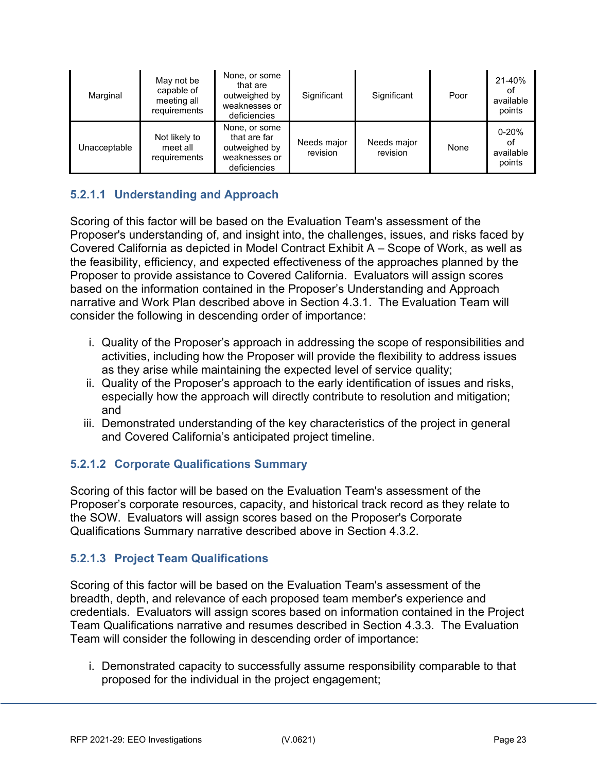| Marginal     | May not be<br>capable of<br>meeting all<br>requirements | None, or some<br>that are<br>outweighed by<br>weaknesses or<br>deficiencies     | Significant             | Significant             | Poor | 21-40%<br>οt<br>available<br>points    |
|--------------|---------------------------------------------------------|---------------------------------------------------------------------------------|-------------------------|-------------------------|------|----------------------------------------|
| Unacceptable | Not likely to<br>meet all<br>requirements               | None, or some<br>that are far<br>outweighed by<br>weaknesses or<br>deficiencies | Needs major<br>revision | Needs major<br>revision | None | $0 - 20%$<br>οt<br>available<br>points |

# **5.2.1.1 Understanding and Approach**

Scoring of this factor will be based on the Evaluation Team's assessment of the Proposer's understanding of, and insight into, the challenges, issues, and risks faced by Covered California as depicted in Model Contract Exhibit A – Scope of Work, as well as the feasibility, efficiency, and expected effectiveness of the approaches planned by the Proposer to provide assistance to Covered California. Evaluators will assign scores based on the information contained in the Proposer's Understanding and Approach narrative and Work Plan described above in Section 4.3.1. The Evaluation Team will consider the following in descending order of importance:

- i. Quality of the Proposer's approach in addressing the scope of responsibilities and activities, including how the Proposer will provide the flexibility to address issues as they arise while maintaining the expected level of service quality;
- ii. Quality of the Proposer's approach to the early identification of issues and risks, especially how the approach will directly contribute to resolution and mitigation; and
- iii. Demonstrated understanding of the key characteristics of the project in general and Covered California's anticipated project timeline.

## **5.2.1.2 Corporate Qualifications Summary**

Scoring of this factor will be based on the Evaluation Team's assessment of the Proposer's corporate resources, capacity, and historical track record as they relate to the SOW. Evaluators will assign scores based on the Proposer's Corporate Qualifications Summary narrative described above in Section 4.3.2.

## **5.2.1.3 Project Team Qualifications**

Scoring of this factor will be based on the Evaluation Team's assessment of the breadth, depth, and relevance of each proposed team member's experience and credentials. Evaluators will assign scores based on information contained in the Project Team Qualifications narrative and resumes described in Section 4.3.3. The Evaluation Team will consider the following in descending order of importance:

i. Demonstrated capacity to successfully assume responsibility comparable to that proposed for the individual in the project engagement;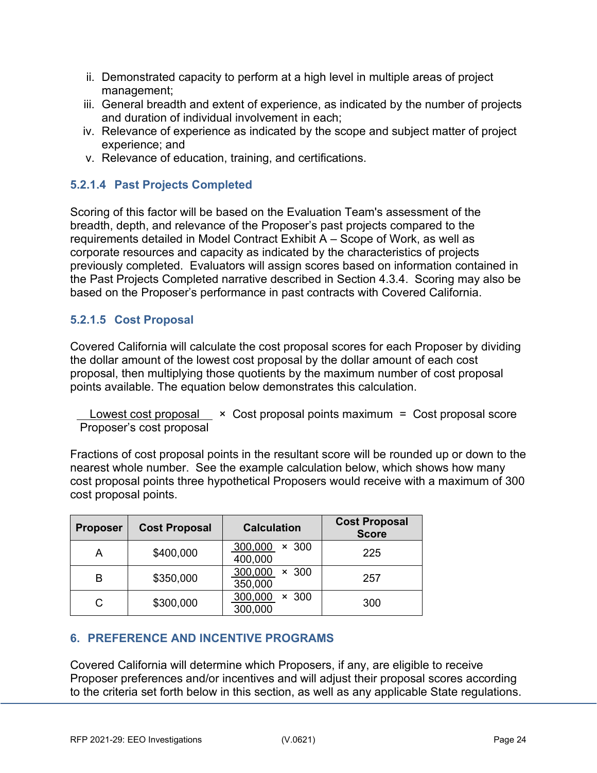- ii. Demonstrated capacity to perform at a high level in multiple areas of project management;
- iii. General breadth and extent of experience, as indicated by the number of projects and duration of individual involvement in each;
- iv. Relevance of experience as indicated by the scope and subject matter of project experience; and
- v. Relevance of education, training, and certifications.

## **5.2.1.4 Past Projects Completed**

Scoring of this factor will be based on the Evaluation Team's assessment of the breadth, depth, and relevance of the Proposer's past projects compared to the requirements detailed in Model Contract Exhibit A – Scope of Work, as well as corporate resources and capacity as indicated by the characteristics of projects previously completed. Evaluators will assign scores based on information contained in the Past Projects Completed narrative described in Section 4.3.4. Scoring may also be based on the Proposer's performance in past contracts with Covered California.

# **5.2.1.5 Cost Proposal**

Covered California will calculate the cost proposal scores for each Proposer by dividing the dollar amount of the lowest cost proposal by the dollar amount of each cost proposal, then multiplying those quotients by the maximum number of cost proposal points available. The equation below demonstrates this calculation.

Lowest cost proposal  $\times$  Cost proposal points maximum = Cost proposal score Proposer's cost proposal

Fractions of cost proposal points in the resultant score will be rounded up or down to the nearest whole number. See the example calculation below, which shows how many cost proposal points three hypothetical Proposers would receive with a maximum of 300 cost proposal points.

| <b>Proposer</b> | <b>Cost Proposal</b> | <b>Calculation</b>                 | <b>Cost Proposal</b><br><b>Score</b> |
|-----------------|----------------------|------------------------------------|--------------------------------------|
| А               | \$400,000            | 300,000<br>$\times$ 300<br>400,000 | 225                                  |
| B               | \$350,000            | 300,000<br>$\times$ 300<br>350,000 | 257                                  |
| С               | \$300,000            | 300,000<br>-300<br>×<br>300,000    | 300                                  |

# <span id="page-23-0"></span>**6. PREFERENCE AND INCENTIVE PROGRAMS**

Covered California will determine which Proposers, if any, are eligible to receive Proposer preferences and/or incentives and will adjust their proposal scores according to the criteria set forth below in this section, as well as any applicable State regulations.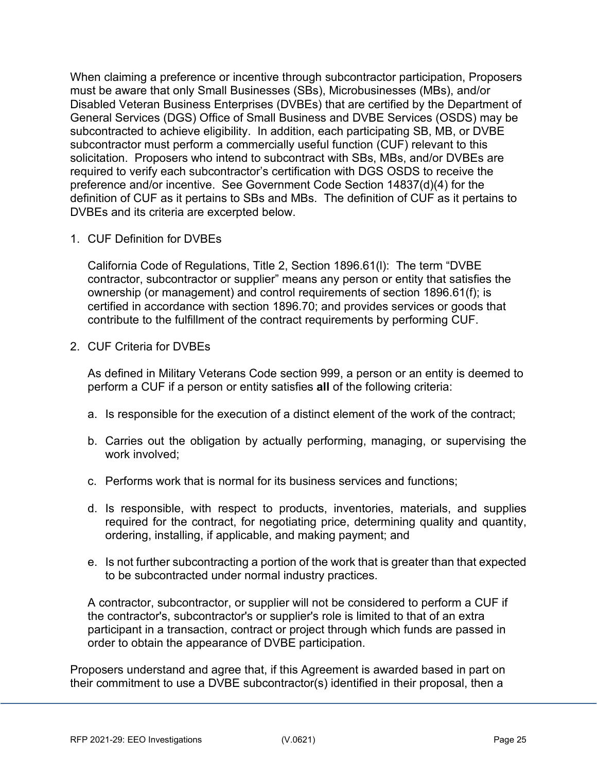When claiming a preference or incentive through subcontractor participation, Proposers must be aware that only Small Businesses (SBs), Microbusinesses (MBs), and/or Disabled Veteran Business Enterprises (DVBEs) that are certified by the Department of General Services (DGS) Office of Small Business and DVBE Services (OSDS) may be subcontracted to achieve eligibility. In addition, each participating SB, MB, or DVBE subcontractor must perform a commercially useful function (CUF) relevant to this solicitation. Proposers who intend to subcontract with SBs, MBs, and/or DVBEs are required to verify each subcontractor's certification with DGS OSDS to receive the preference and/or incentive. See Government Code Section 14837(d)(4) for the definition of CUF as it pertains to SBs and MBs. The definition of CUF as it pertains to DVBEs and its criteria are excerpted below.

1. CUF Definition for DVBEs

California Code of Regulations, Title 2, Section 1896.61(l): The term "DVBE contractor, subcontractor or supplier" means any person or entity that satisfies the ownership (or management) and control requirements of section 1896.61(f); is certified in accordance with section 1896.70; and provides services or goods that contribute to the fulfillment of the contract requirements by performing CUF.

2. CUF Criteria for DVBEs

As defined in Military Veterans Code section 999, a person or an entity is deemed to perform a CUF if a person or entity satisfies **all** of the following criteria:

- a. Is responsible for the execution of a distinct element of the work of the contract;
- b. Carries out the obligation by actually performing, managing, or supervising the work involved;
- c. Performs work that is normal for its business services and functions;
- d. Is responsible, with respect to products, inventories, materials, and supplies required for the contract, for negotiating price, determining quality and quantity, ordering, installing, if applicable, and making payment; and
- e. Is not further subcontracting a portion of the work that is greater than that expected to be subcontracted under normal industry practices.

A contractor, subcontractor, or supplier will not be considered to perform a CUF if the contractor's, subcontractor's or supplier's role is limited to that of an extra participant in a transaction, contract or project through which funds are passed in order to obtain the appearance of DVBE participation.

Proposers understand and agree that, if this Agreement is awarded based in part on their commitment to use a DVBE subcontractor(s) identified in their proposal, then a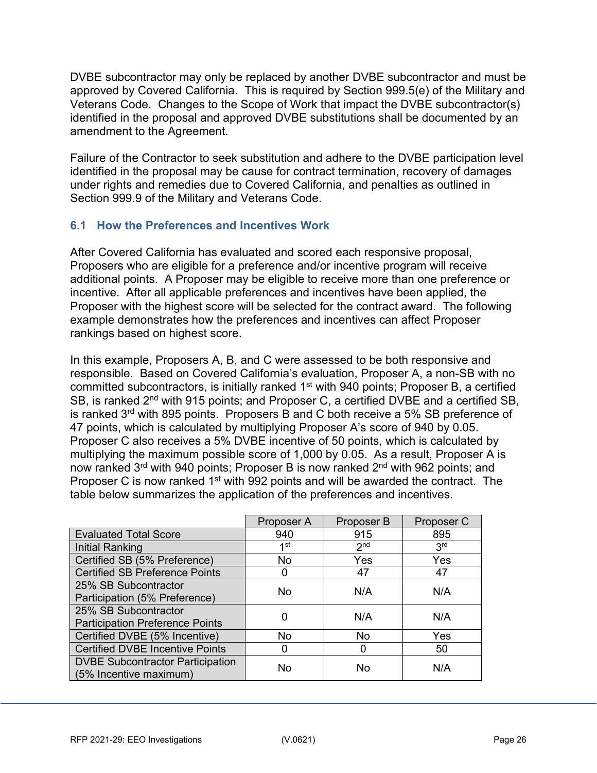DVBE subcontractor may only be replaced by another DVBE subcontractor and must be approved by Covered California. This is required by Section 999.5(e) of the Military and Veterans Code. Changes to the Scope of Work that impact the DVBE subcontractor(s) identified in the proposal and approved DVBE substitutions shall be documented by an amendment to the Agreement.

Failure of the Contractor to seek substitution and adhere to the DVBE participation level identified in the proposal may be cause for contract termination, recovery of damages under rights and remedies due to Covered California, and penalties as outlined in Section 999.9 of the Military and Veterans Code.

## <span id="page-25-0"></span>**6.1 How the Preferences and Incentives Work**

After Covered California has evaluated and scored each responsive proposal, Proposers who are eligible for a preference and/or incentive program will receive additional points. A Proposer may be eligible to receive more than one preference or incentive. After all applicable preferences and incentives have been applied, the Proposer with the highest score will be selected for the contract award. The following example demonstrates how the preferences and incentives can affect Proposer rankings based on highest score.

In this example, Proposers A, B, and C were assessed to be both responsive and responsible. Based on Covered California's evaluation, Proposer A, a non-SB with no committed subcontractors, is initially ranked 1<sup>st</sup> with 940 points; Proposer B, a certified SB, is ranked 2<sup>nd</sup> with 915 points; and Proposer C, a certified DVBE and a certified SB, is ranked 3rd with 895 points. Proposers B and C both receive a 5% SB preference of 47 points, which is calculated by multiplying Proposer A's score of 940 by 0.05. Proposer C also receives a 5% DVBE incentive of 50 points, which is calculated by multiplying the maximum possible score of 1,000 by 0.05. As a result, Proposer A is now ranked 3<sup>rd</sup> with 940 points; Proposer B is now ranked 2<sup>nd</sup> with 962 points; and Proposer C is now ranked 1<sup>st</sup> with 992 points and will be awarded the contract. The table below summarizes the application of the preferences and incentives.

|                                         | Proposer A | Proposer B      | Proposer C      |
|-----------------------------------------|------------|-----------------|-----------------|
| <b>Evaluated Total Score</b>            | 940        | 915             | 895             |
| Initial Ranking                         | 1st        | 2 <sub>nd</sub> | 3 <sup>rd</sup> |
| Certified SB (5% Preference)            | No         | Yes             | Yes             |
| <b>Certified SB Preference Points</b>   |            | 47              | 47              |
| 25% SB Subcontractor                    | No         | N/A             | N/A             |
| Participation (5% Preference)           |            |                 |                 |
| 25% SB Subcontractor                    |            | N/A             | N/A             |
| <b>Participation Preference Points</b>  |            |                 |                 |
| Certified DVBE (5% Incentive)           | No         | No              | Yes             |
| <b>Certified DVBE Incentive Points</b>  |            |                 | 50              |
| <b>DVBE Subcontractor Participation</b> | No         | No              | N/A             |
| (5% Incentive maximum)                  |            |                 |                 |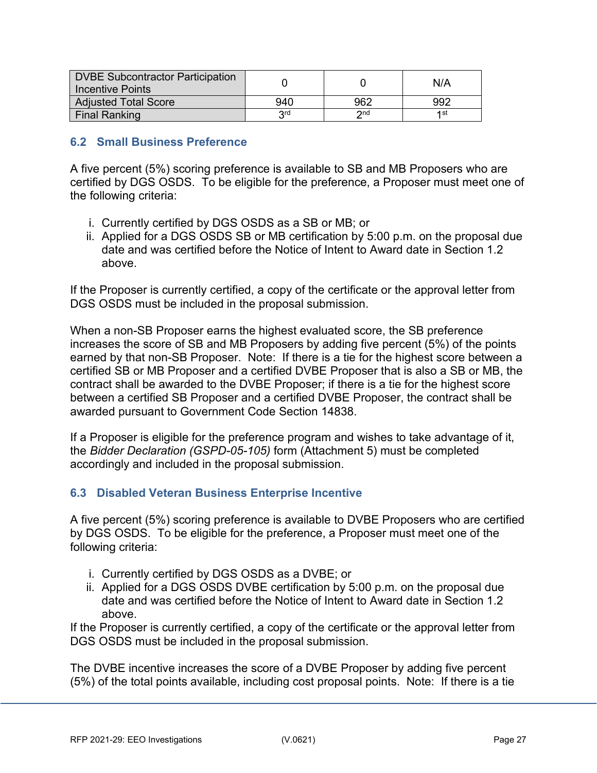| DVBE Subcontractor Participation<br><b>Incentive Points</b> |            |                 | N/A  |
|-------------------------------------------------------------|------------|-----------------|------|
| <b>Adjusted Total Score</b>                                 | 940        | 962             | 992  |
| Final Ranking                                               | <b>Qrd</b> | $\mathsf{C}$ nd | 4 st |

## <span id="page-26-0"></span>**6.2 Small Business Preference**

A five percent (5%) scoring preference is available to SB and MB Proposers who are certified by DGS OSDS. To be eligible for the preference, a Proposer must meet one of the following criteria:

- i. Currently certified by DGS OSDS as a SB or MB; or
- ii. Applied for a DGS OSDS SB or MB certification by 5:00 p.m. on the proposal due date and was certified before the Notice of Intent to Award date in Section 1.2 above.

If the Proposer is currently certified, a copy of the certificate or the approval letter from DGS OSDS must be included in the proposal submission.

When a non-SB Proposer earns the highest evaluated score, the SB preference increases the score of SB and MB Proposers by adding five percent (5%) of the points earned by that non-SB Proposer. Note: If there is a tie for the highest score between a certified SB or MB Proposer and a certified DVBE Proposer that is also a SB or MB, the contract shall be awarded to the DVBE Proposer; if there is a tie for the highest score between a certified SB Proposer and a certified DVBE Proposer, the contract shall be awarded pursuant to Government Code Section 14838.

If a Proposer is eligible for the preference program and wishes to take advantage of it, the *Bidder Declaration (GSPD-05-105)* form (Attachment 5) must be completed accordingly and included in the proposal submission.

## <span id="page-26-1"></span>**6.3 Disabled Veteran Business Enterprise Incentive**

A five percent (5%) scoring preference is available to DVBE Proposers who are certified by DGS OSDS. To be eligible for the preference, a Proposer must meet one of the following criteria:

- i. Currently certified by DGS OSDS as a DVBE; or
- ii. Applied for a DGS OSDS DVBE certification by 5:00 p.m. on the proposal due date and was certified before the Notice of Intent to Award date in Section 1.2 above.

If the Proposer is currently certified, a copy of the certificate or the approval letter from DGS OSDS must be included in the proposal submission.

The DVBE incentive increases the score of a DVBE Proposer by adding five percent (5%) of the total points available, including cost proposal points. Note: If there is a tie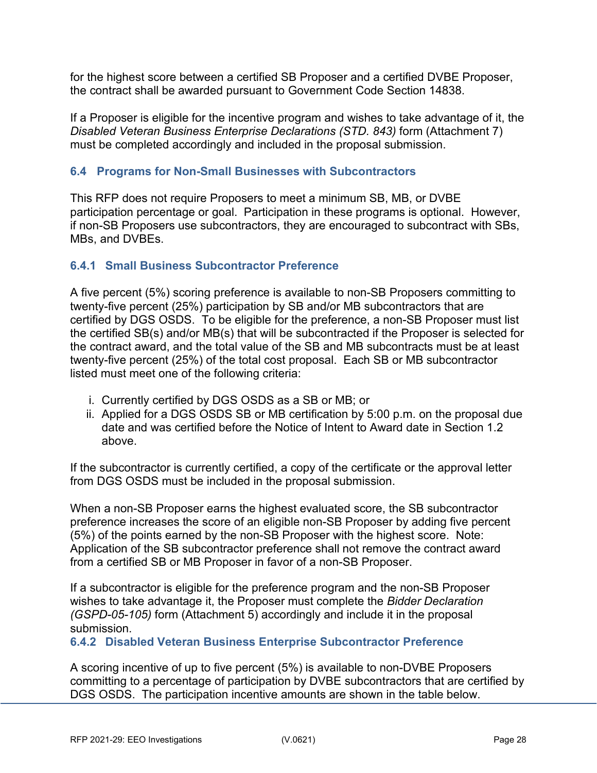for the highest score between a certified SB Proposer and a certified DVBE Proposer, the contract shall be awarded pursuant to Government Code Section 14838.

If a Proposer is eligible for the incentive program and wishes to take advantage of it, the *Disabled Veteran Business Enterprise Declarations (STD. 843)* form (Attachment 7) must be completed accordingly and included in the proposal submission.

## <span id="page-27-0"></span>**6.4 Programs for Non-Small Businesses with Subcontractors**

This RFP does not require Proposers to meet a minimum SB, MB, or DVBE participation percentage or goal. Participation in these programs is optional. However, if non-SB Proposers use subcontractors, they are encouraged to subcontract with SBs, MBs, and DVBEs.

## **6.4.1 Small Business Subcontractor Preference**

A five percent (5%) scoring preference is available to non-SB Proposers committing to twenty-five percent (25%) participation by SB and/or MB subcontractors that are certified by DGS OSDS. To be eligible for the preference, a non-SB Proposer must list the certified SB(s) and/or MB(s) that will be subcontracted if the Proposer is selected for the contract award, and the total value of the SB and MB subcontracts must be at least twenty-five percent (25%) of the total cost proposal. Each SB or MB subcontractor listed must meet one of the following criteria:

- i. Currently certified by DGS OSDS as a SB or MB; or
- ii. Applied for a DGS OSDS SB or MB certification by 5:00 p.m. on the proposal due date and was certified before the Notice of Intent to Award date in Section 1.2 above.

If the subcontractor is currently certified, a copy of the certificate or the approval letter from DGS OSDS must be included in the proposal submission.

When a non-SB Proposer earns the highest evaluated score, the SB subcontractor preference increases the score of an eligible non-SB Proposer by adding five percent (5%) of the points earned by the non-SB Proposer with the highest score. Note: Application of the SB subcontractor preference shall not remove the contract award from a certified SB or MB Proposer in favor of a non-SB Proposer.

If a subcontractor is eligible for the preference program and the non-SB Proposer wishes to take advantage it, the Proposer must complete the *Bidder Declaration (GSPD-05-105)* form (Attachment 5) accordingly and include it in the proposal submission.

**6.4.2 Disabled Veteran Business Enterprise Subcontractor Preference**

A scoring incentive of up to five percent (5%) is available to non-DVBE Proposers committing to a percentage of participation by DVBE subcontractors that are certified by DGS OSDS. The participation incentive amounts are shown in the table below.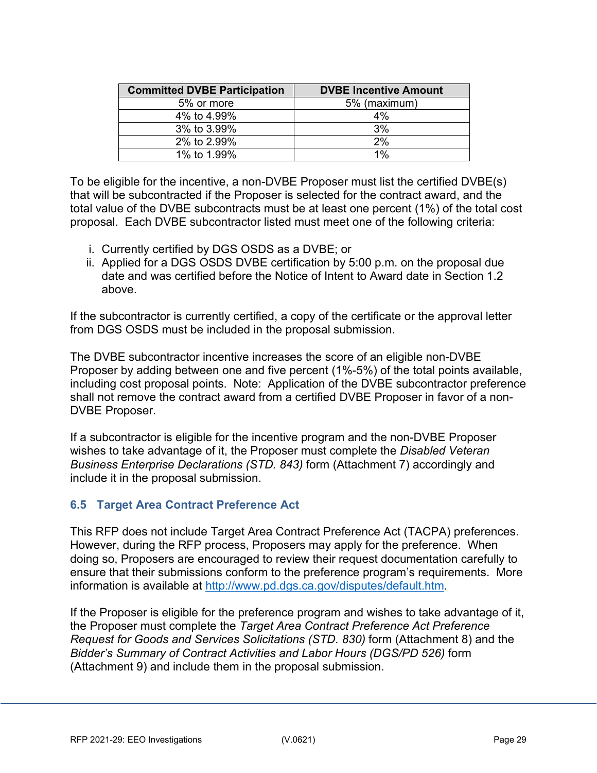| <b>Committed DVBE Participation</b> | <b>DVBE Incentive Amount</b> |
|-------------------------------------|------------------------------|
| 5% or more                          | 5% (maximum)                 |
| 4% to 4.99%                         | 4%                           |
| 3% to 3.99%                         | 3%                           |
| 2% to 2.99%                         | 2%                           |
| 1% to 1.99%                         | $1\%$                        |

To be eligible for the incentive, a non-DVBE Proposer must list the certified DVBE(s) that will be subcontracted if the Proposer is selected for the contract award, and the total value of the DVBE subcontracts must be at least one percent (1%) of the total cost proposal. Each DVBE subcontractor listed must meet one of the following criteria:

- i. Currently certified by DGS OSDS as a DVBE; or
- ii. Applied for a DGS OSDS DVBE certification by 5:00 p.m. on the proposal due date and was certified before the Notice of Intent to Award date in Section 1.2 above.

If the subcontractor is currently certified, a copy of the certificate or the approval letter from DGS OSDS must be included in the proposal submission.

The DVBE subcontractor incentive increases the score of an eligible non-DVBE Proposer by adding between one and five percent (1%-5%) of the total points available, including cost proposal points. Note: Application of the DVBE subcontractor preference shall not remove the contract award from a certified DVBE Proposer in favor of a non-DVBE Proposer.

If a subcontractor is eligible for the incentive program and the non-DVBE Proposer wishes to take advantage of it, the Proposer must complete the *Disabled Veteran Business Enterprise Declarations (STD. 843)* form (Attachment 7) accordingly and include it in the proposal submission.

## <span id="page-28-0"></span>**6.5 Target Area Contract Preference Act**

This RFP does not include Target Area Contract Preference Act (TACPA) preferences. However, during the RFP process, Proposers may apply for the preference. When doing so, Proposers are encouraged to review their request documentation carefully to ensure that their submissions conform to the preference program's requirements. More information is available at [http://www.pd.dgs.ca.gov/disputes/default.htm.](http://www.pd.dgs.ca.gov/disputes/default.htm)

If the Proposer is eligible for the preference program and wishes to take advantage of it, the Proposer must complete the *Target Area Contract Preference Act Preference Request for Goods and Services Solicitations (STD. 830)* form (Attachment 8) and the *Bidder's Summary of Contract Activities and Labor Hours (DGS/PD 526)* form (Attachment 9) and include them in the proposal submission.